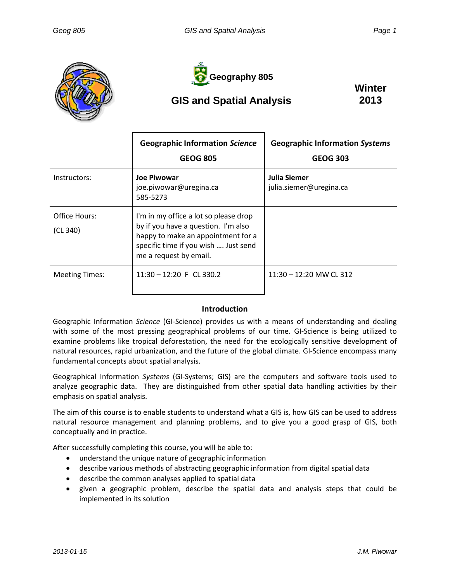



# **GIS and Spatial Analysis**

**Winter 2013**

|                           | <b>Geographic Information Science</b><br><b>GEOG 805</b>                                                                                                                             | <b>Geographic Information Systems</b><br><b>GEOG 303</b> |
|---------------------------|--------------------------------------------------------------------------------------------------------------------------------------------------------------------------------------|----------------------------------------------------------|
| Instructors:              | <b>Joe Piwowar</b><br>joe.piwowar@uregina.ca<br>585-5273                                                                                                                             | Julia Siemer<br>julia.siemer@uregina.ca                  |
| Office Hours:<br>(CL 340) | I'm in my office a lot so please drop<br>by if you have a question. I'm also<br>happy to make an appointment for a<br>specific time if you wish  Just send<br>me a request by email. |                                                          |
| <b>Meeting Times:</b>     | $11:30 - 12:20$ F CL 330.2                                                                                                                                                           | $11:30 - 12:20$ MW CL 312                                |

### **Introduction**

Geographic Information *Science* (GI-Science) provides us with a means of understanding and dealing with some of the most pressing geographical problems of our time. GI-Science is being utilized to examine problems like tropical deforestation, the need for the ecologically sensitive development of natural resources, rapid urbanization, and the future of the global climate. GI-Science encompass many fundamental concepts about spatial analysis.

Geographical Information *Systems* (GI-Systems; GIS) are the computers and software tools used to analyze geographic data. They are distinguished from other spatial data handling activities by their emphasis on spatial analysis.

The aim of this course is to enable students to understand what a GIS is, how GIS can be used to address natural resource management and planning problems, and to give you a good grasp of GIS, both conceptually and in practice.

After successfully completing this course, you will be able to:

- understand the unique nature of geographic information
- describe various methods of abstracting geographic information from digital spatial data
- describe the common analyses applied to spatial data
- given a geographic problem, describe the spatial data and analysis steps that could be implemented in its solution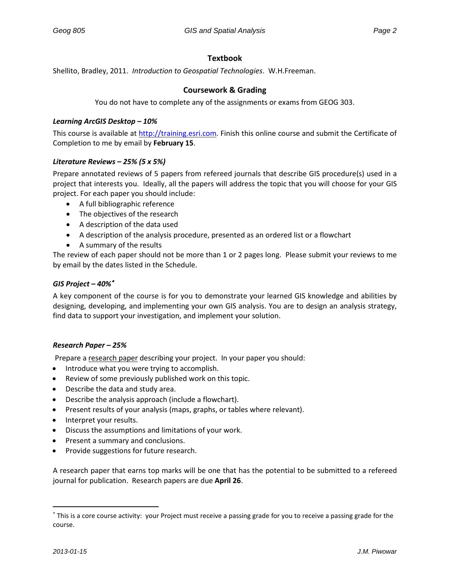#### **Textbook**

Shellito, Bradley, 2011. *Introduction to Geospatial Technologies*. W.H.Freeman.

#### **Coursework & Grading**

You do not have to complete any of the assignments or exams from GEOG 303.

#### *Learning ArcGIS Desktop – 10%*

This course is available at [http://training.esri.com.](http://training.esri.com/) Finish this online course and submit the Certificate of Completion to me by email by **February 15**.

#### *Literature Reviews – 25% (5 x 5%)*

Prepare annotated reviews of 5 papers from refereed journals that describe GIS procedure(s) used in a project that interests you. Ideally, all the papers will address the topic that you will choose for your GIS project. For each paper you should include:

- A full bibliographic reference
- The objectives of the research
- A description of the data used
- A description of the analysis procedure, presented as an ordered list or a flowchart
- A summary of the results

The review of each paper should not be more than 1 or 2 pages long. Please submit your reviews to me by email by the dates listed in the Schedule.

#### *GIS Project – 40%*[∗](#page-1-0)

A key component of the course is for you to demonstrate your learned GIS knowledge and abilities by designing, developing, and implementing your own GIS analysis. You are to design an analysis strategy, find data to support your investigation, and implement your solution.

#### *Research Paper – 25%*

Prepare a research paper describing your project. In your paper you should:

- Introduce what you were trying to accomplish.
- Review of some previously published work on this topic.
- Describe the data and study area.
- Describe the analysis approach (include a flowchart).
- Present results of your analysis (maps, graphs, or tables where relevant).
- Interpret your results.
- Discuss the assumptions and limitations of your work.
- Present a summary and conclusions.
- Provide suggestions for future research.

A research paper that earns top marks will be one that has the potential to be submitted to a refereed journal for publication. Research papers are due **April 26**.

ı

<span id="page-1-0"></span><sup>∗</sup> This is a core course activity: your Project must receive a passing grade for you to receive a passing grade for the course.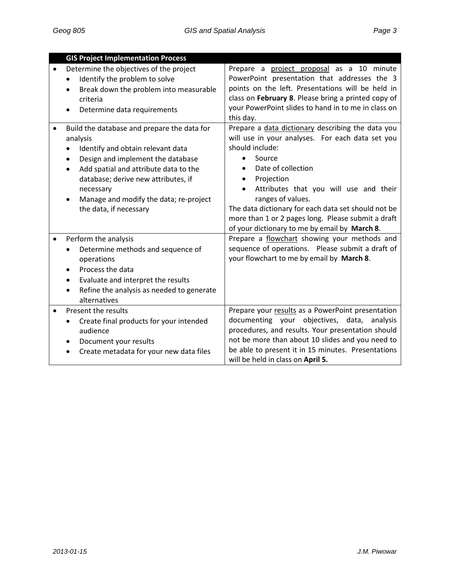| <b>GIS Project Implementation Process</b>            |                                                     |
|------------------------------------------------------|-----------------------------------------------------|
| Determine the objectives of the project              | Prepare a project proposal as a 10 minute           |
| Identify the problem to solve<br>$\bullet$           | PowerPoint presentation that addresses the 3        |
| Break down the problem into measurable<br>$\bullet$  | points on the left. Presentations will be held in   |
| criteria                                             | class on February 8. Please bring a printed copy of |
| Determine data requirements<br>$\bullet$             | your PowerPoint slides to hand in to me in class on |
|                                                      | this day.                                           |
| Build the database and prepare the data for          | Prepare a data dictionary describing the data you   |
| analysis                                             | will use in your analyses. For each data set you    |
| Identify and obtain relevant data                    | should include:                                     |
| Design and implement the database<br>$\bullet$       | Source<br>$\bullet$                                 |
| Add spatial and attribute data to the<br>$\bullet$   | Date of collection<br>$\bullet$                     |
| database; derive new attributes, if                  | Projection<br>$\bullet$                             |
| necessary                                            | Attributes that you will use and their              |
| Manage and modify the data; re-project               | ranges of values.                                   |
| the data, if necessary                               | The data dictionary for each data set should not be |
|                                                      | more than 1 or 2 pages long. Please submit a draft  |
|                                                      | of your dictionary to me by email by March 8.       |
| Perform the analysis                                 | Prepare a flowchart showing your methods and        |
| Determine methods and sequence of                    | sequence of operations.  Please submit a draft of   |
| operations                                           | your flowchart to me by email by March 8.           |
| Process the data<br>$\bullet$                        |                                                     |
| Evaluate and interpret the results<br>$\bullet$      |                                                     |
| Refine the analysis as needed to generate            |                                                     |
| alternatives                                         |                                                     |
| Present the results                                  | Prepare your results as a PowerPoint presentation   |
| Create final products for your intended              | documenting your objectives, data, analysis         |
| audience                                             | procedures, and results. Your presentation should   |
| Document your results<br>$\bullet$                   | not be more than about 10 slides and you need to    |
| Create metadata for your new data files<br>$\bullet$ | be able to present it in 15 minutes. Presentations  |
|                                                      | will be held in class on April 5.                   |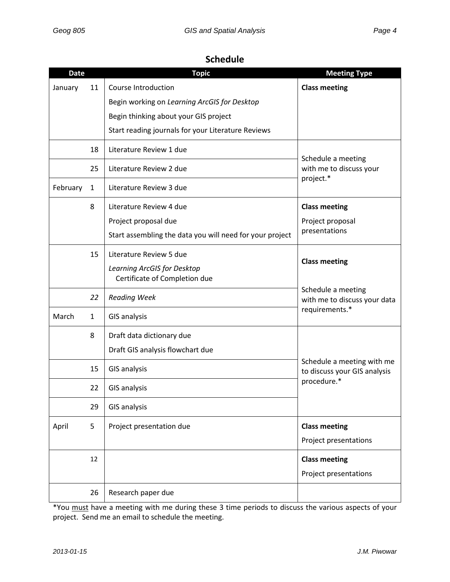# **Schedule**

| <b>Date</b> |              | <b>Topic</b>                                                 | <b>Meeting Type</b>                                        |
|-------------|--------------|--------------------------------------------------------------|------------------------------------------------------------|
| January     | 11           | Course Introduction                                          | <b>Class meeting</b>                                       |
|             |              | Begin working on Learning ArcGIS for Desktop                 |                                                            |
|             |              | Begin thinking about your GIS project                        |                                                            |
|             |              | Start reading journals for your Literature Reviews           |                                                            |
|             | 18           | Literature Review 1 due                                      | Schedule a meeting                                         |
|             | 25           | Literature Review 2 due                                      | with me to discuss your                                    |
| February    | $\mathbf{1}$ | Literature Review 3 due                                      | project.*                                                  |
|             | 8            | Literature Review 4 due                                      | <b>Class meeting</b>                                       |
|             |              | Project proposal due                                         | Project proposal                                           |
|             |              | Start assembling the data you will need for your project     | presentations                                              |
|             | 15           | Literature Review 5 due                                      |                                                            |
|             |              | Learning ArcGIS for Desktop<br>Certificate of Completion due | <b>Class meeting</b>                                       |
|             | 22           | <b>Reading Week</b>                                          | Schedule a meeting<br>with me to discuss your data         |
| March       | $\mathbf{1}$ | <b>GIS analysis</b>                                          | requirements.*                                             |
|             | 8            | Draft data dictionary due                                    |                                                            |
|             |              | Draft GIS analysis flowchart due                             |                                                            |
|             | 15           | <b>GIS analysis</b>                                          | Schedule a meeting with me<br>to discuss your GIS analysis |
|             | 22           | <b>GIS analysis</b>                                          | procedure.*                                                |
|             | 29           | <b>GIS analysis</b>                                          |                                                            |
| April       | 5            | Project presentation due                                     | <b>Class meeting</b>                                       |
|             |              |                                                              | Project presentations                                      |
|             | 12           |                                                              | <b>Class meeting</b>                                       |
|             |              |                                                              | Project presentations                                      |
|             | 26           | Research paper due                                           |                                                            |

\*You must have a meeting with me during these 3 time periods to discuss the various aspects of your project. Send me an email to schedule the meeting.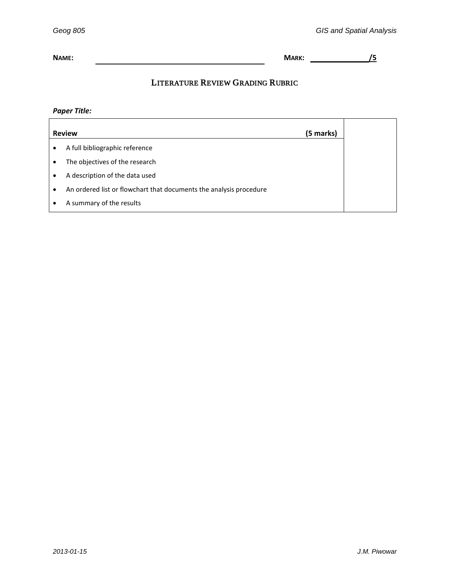**NAME: MARK:**

MARK: <u>2008 / 5</u>

## LITERATURE REVIEW GRADING RUBRIC

*Paper Title:*

| <b>Review</b><br>(5 marks)                                         |  |
|--------------------------------------------------------------------|--|
| A full bibliographic reference                                     |  |
| The objectives of the research                                     |  |
| A description of the data used                                     |  |
| An ordered list or flowchart that documents the analysis procedure |  |
| A summary of the results                                           |  |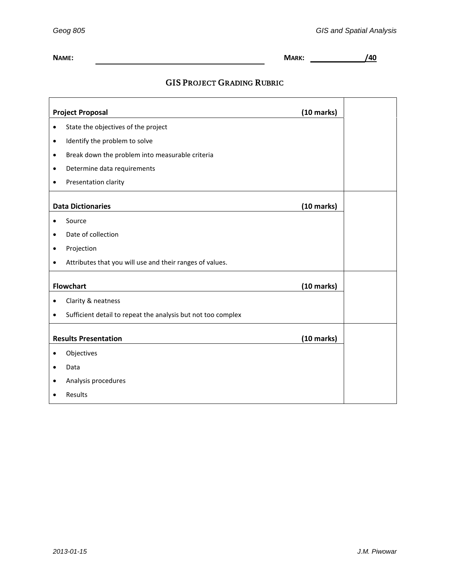**/40**

**NAME: MARK:**

## GIS PROJECT GRADING RUBRIC

| <b>Project Proposal</b>                             |                                                              | $(10 \text{ marks})$ |
|-----------------------------------------------------|--------------------------------------------------------------|----------------------|
|                                                     |                                                              |                      |
| $\bullet$                                           | State the objectives of the project                          |                      |
| $\bullet$                                           | Identify the problem to solve                                |                      |
| $\bullet$                                           | Break down the problem into measurable criteria              |                      |
| $\bullet$                                           | Determine data requirements                                  |                      |
| ٠                                                   | Presentation clarity                                         |                      |
|                                                     | <b>Data Dictionaries</b>                                     | $(10 \text{ marks})$ |
| $\bullet$                                           | Source                                                       |                      |
| $\bullet$                                           | Date of collection                                           |                      |
| $\bullet$                                           | Projection                                                   |                      |
| $\bullet$                                           | Attributes that you will use and their ranges of values.     |                      |
|                                                     | <b>Flowchart</b>                                             | $(10 \text{ marks})$ |
| $\bullet$                                           | Clarity & neatness                                           |                      |
| $\bullet$                                           | Sufficient detail to repeat the analysis but not too complex |                      |
| <b>Results Presentation</b><br>$(10 \text{ marks})$ |                                                              |                      |
| $\bullet$                                           | Objectives                                                   |                      |
| $\bullet$                                           | Data                                                         |                      |
| ٠                                                   | Analysis procedures                                          |                      |
| c                                                   | Results                                                      |                      |